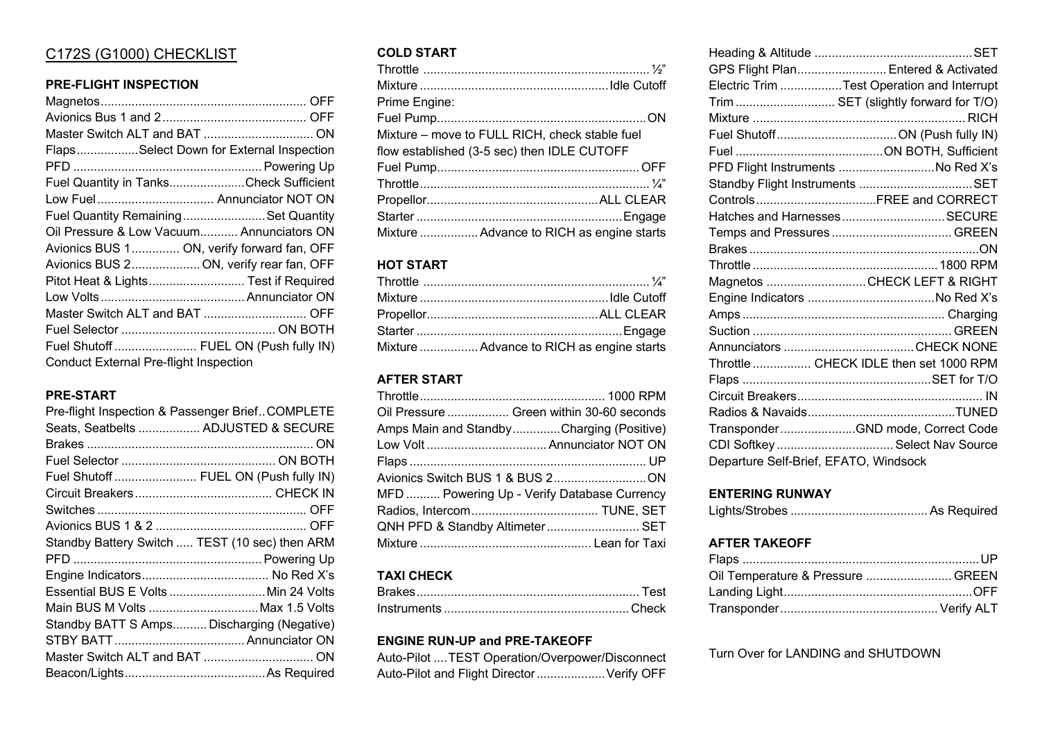## C172S (G1000) CHECKLIST

#### **PRE-FLIGHT INSPECTION**

| FlapsSelect Down for External Inspection      |  |  |
|-----------------------------------------------|--|--|
|                                               |  |  |
| Fuel Quantity in TanksCheck Sufficient        |  |  |
| Low Fuel Annunciator NOT ON                   |  |  |
| Fuel Quantity RemainingSet Quantity           |  |  |
| Oil Pressure & Low Vacuum Annunciators ON     |  |  |
| Avionics BUS 1 ON, verify forward fan, OFF    |  |  |
| Avionics BUS 2 ON, verify rear fan, OFF       |  |  |
| Pitot Heat & Lights Test if Required          |  |  |
|                                               |  |  |
|                                               |  |  |
|                                               |  |  |
| Fuel Shutoff FUEL ON (Push fully IN)          |  |  |
| <b>Conduct External Pre-flight Inspection</b> |  |  |

# **PRE-START**

| Pre-flight Inspection & Passenger Brief COMPLETE |  |
|--------------------------------------------------|--|
| Seats, Seatbelts  ADJUSTED & SECURE              |  |
|                                                  |  |
|                                                  |  |
| Fuel Shutoff  FUEL ON (Push fully IN)            |  |
|                                                  |  |
|                                                  |  |
|                                                  |  |
| Standby Battery Switch  TEST (10 sec) then ARM   |  |
|                                                  |  |
|                                                  |  |
| Essential BUS E Volts  Min 24 Volts              |  |
| Main BUS M Volts Max 1.5 Volts                   |  |
| Standby BATT S Amps Discharging (Negative)       |  |
|                                                  |  |
|                                                  |  |
|                                                  |  |

#### **COLD START**

| Prime Engine:                                  |  |  |
|------------------------------------------------|--|--|
|                                                |  |  |
| Mixture – move to FULL RICH, check stable fuel |  |  |
| flow established (3-5 sec) then IDLE CUTOFF    |  |  |
|                                                |  |  |
|                                                |  |  |
|                                                |  |  |
|                                                |  |  |
| Mixture  Advance to RICH as engine starts      |  |  |

### **HOT START**

| Mixture  Advance to RICH as engine starts |
|-------------------------------------------|

## **AFTER START**

| Oil Pressure  Green within 30-60 seconds    |
|---------------------------------------------|
| Amps Main and StandbyCharging (Positive)    |
|                                             |
|                                             |
|                                             |
| MFD  Powering Up - Verify Database Currency |
|                                             |
| QNH PFD & Standby Altimeter SET             |
|                                             |

## **TAXI CHECK**

#### **ENGINE RUN-UP and PRE-TAKEOFF**

| Auto-Pilot  TEST Operation/Overpower/Disconnect |  |
|-------------------------------------------------|--|
| Auto-Pilot and Flight Director  Verify OFF      |  |

| GPS Flight Plan Entered & Activated        |  |
|--------------------------------------------|--|
| Electric Trim Test Operation and Interrupt |  |
| Trim  SET (slightly forward for T/O)       |  |
|                                            |  |
|                                            |  |
|                                            |  |
| PFD Flight Instruments No Red X's          |  |
| Standby Flight Instruments SET             |  |
|                                            |  |
| Hatches and HarnessesSECURE                |  |
|                                            |  |
|                                            |  |
|                                            |  |
| Magnetos CHECK LEFT & RIGHT                |  |
|                                            |  |
|                                            |  |
|                                            |  |
|                                            |  |
| Throttle  CHECK IDLE then set 1000 RPM     |  |
|                                            |  |
|                                            |  |
|                                            |  |
| TransponderGND mode, Correct Code          |  |
| CDI Softkey  Select Nav Source             |  |
| Departure Self-Brief, EFATO, Windsock      |  |
|                                            |  |

#### **ENTERING RUNWAY**

|--|--|--|

### **AFTER TAKEOFF**

| Oil Temperature & Pressure  GREEN |  |
|-----------------------------------|--|
|                                   |  |
|                                   |  |

Turn Over for LANDING and SHUTDOWN